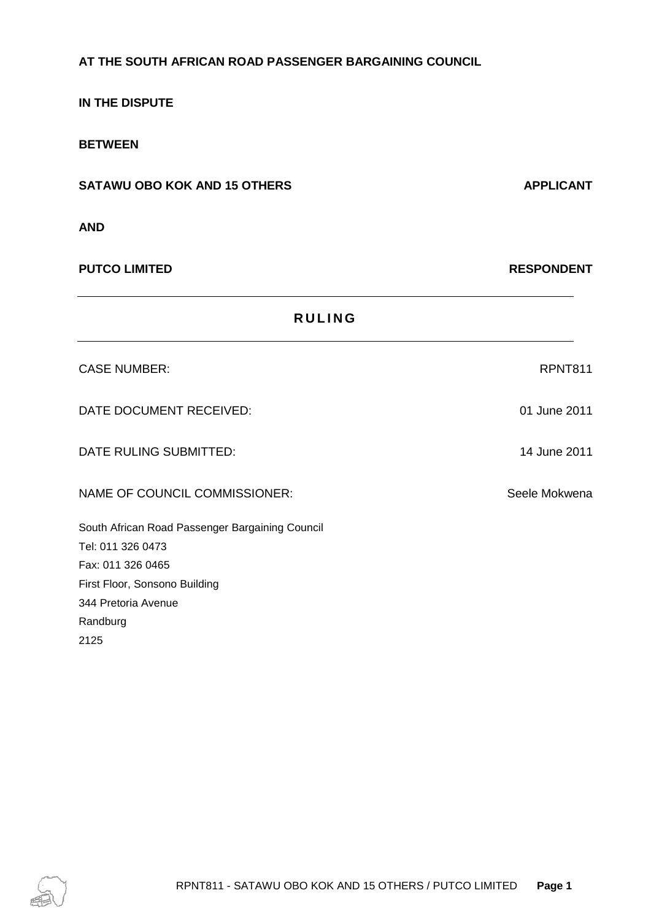# **IN THE DISPUTE BETWEEN SATAWU OBO KOK AND 15 OTHERS APPLICANT AND PUTCO LIMITED RESPONDENT R U L I N G** CASE NUMBER: RPNT811 DATE DOCUMENT RECEIVED: 01 June 2011 DATE RULING SUBMITTED: 14 June 2011 NAME OF COUNCIL COMMISSIONER: Seele Mokwena South African Road Passenger Bargaining Council Tel: 011 326 0473 Fax: 011 326 0465 First Floor, Sonsono Building 344 Pretoria Avenue

**AT THE SOUTH AFRICAN ROAD PASSENGER BARGAINING COUNCIL**

Randburg 2125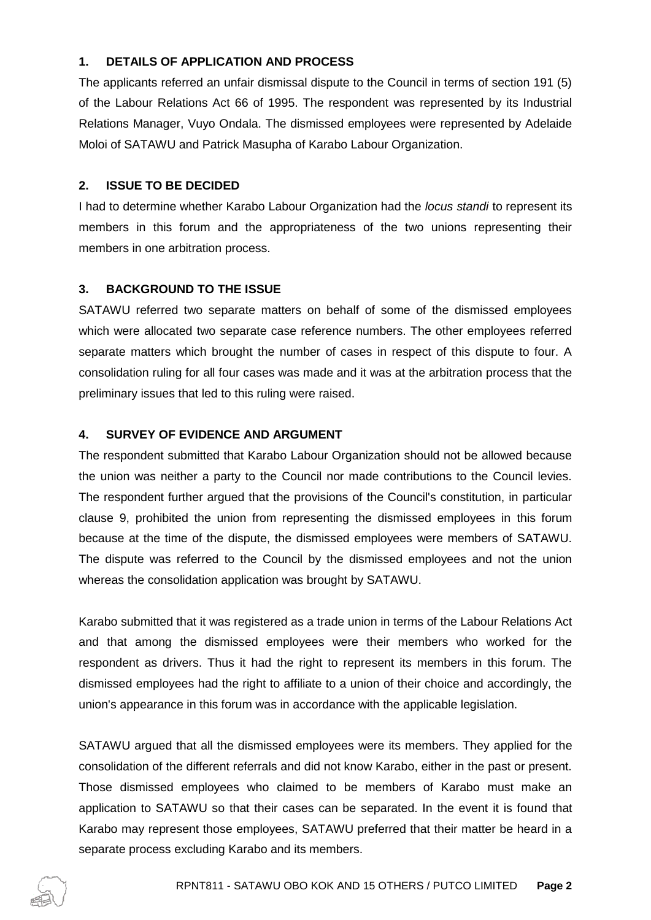# **1. DETAILS OF APPLICATION AND PROCESS**

The applicants referred an unfair dismissal dispute to the Council in terms of section 191 (5) of the Labour Relations Act 66 of 1995. The respondent was represented by its Industrial Relations Manager, Vuyo Ondala. The dismissed employees were represented by Adelaide Moloi of SATAWU and Patrick Masupha of Karabo Labour Organization.

#### **2. ISSUE TO BE DECIDED**

I had to determine whether Karabo Labour Organization had the *locus standi* to represent its members in this forum and the appropriateness of the two unions representing their members in one arbitration process.

## **3. BACKGROUND TO THE ISSUE**

SATAWU referred two separate matters on behalf of some of the dismissed employees which were allocated two separate case reference numbers. The other employees referred separate matters which brought the number of cases in respect of this dispute to four. A consolidation ruling for all four cases was made and it was at the arbitration process that the preliminary issues that led to this ruling were raised.

#### **4. SURVEY OF EVIDENCE AND ARGUMENT**

The respondent submitted that Karabo Labour Organization should not be allowed because the union was neither a party to the Council nor made contributions to the Council levies. The respondent further argued that the provisions of the Council's constitution, in particular clause 9, prohibited the union from representing the dismissed employees in this forum because at the time of the dispute, the dismissed employees were members of SATAWU. The dispute was referred to the Council by the dismissed employees and not the union whereas the consolidation application was brought by SATAWU.

Karabo submitted that it was registered as a trade union in terms of the Labour Relations Act and that among the dismissed employees were their members who worked for the respondent as drivers. Thus it had the right to represent its members in this forum. The dismissed employees had the right to affiliate to a union of their choice and accordingly, the union's appearance in this forum was in accordance with the applicable legislation.

SATAWU argued that all the dismissed employees were its members. They applied for the consolidation of the different referrals and did not know Karabo, either in the past or present. Those dismissed employees who claimed to be members of Karabo must make an application to SATAWU so that their cases can be separated. In the event it is found that Karabo may represent those employees, SATAWU preferred that their matter be heard in a separate process excluding Karabo and its members.